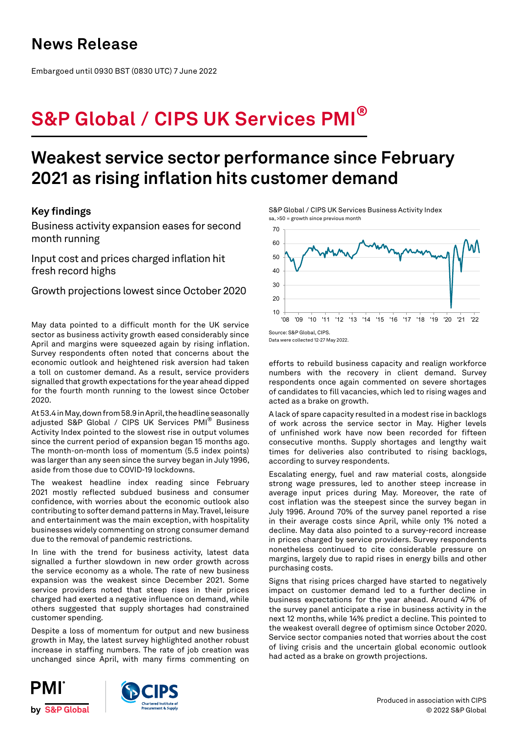Embargoed until 0930 BST (0830 UTC) 7 June 2022

# **S&P Global / CIPS UK Services PMI®**

# **Weakest service sector performance since February 2021 as rising inflation hits customer demand**

## **Key findings**

Business activity expansion eases for second month running

Input cost and prices charged inflation hit fresh record highs

Growth projections lowest since October 2020

May data pointed to a difficult month for the UK service sector as business activity growth eased considerably since April and margins were squeezed again by rising inflation. Survey respondents often noted that concerns about the economic outlook and heightened risk aversion had taken a toll on customer demand. As a result, service providers signalled that growth expectations for the year ahead dipped for the fourth month running to the lowest since October 2020.

At 53.4 in May, down from 58.9 in April, the headline seasonally adjusted S&P Global / CIPS UK Services PMI® Business Activity Index pointed to the slowest rise in output volumes since the current period of expansion began 15 months ago. The month-on-month loss of momentum (5.5 index points) was larger than any seen since the survey began in July 1996, aside from those due to COVID-19 lockdowns.

The weakest headline index reading since February 2021 mostly reflected subdued business and consumer confidence, with worries about the economic outlook also contributing to softer demand patterns in May. Travel, leisure and entertainment was the main exception, with hospitality businesses widely commenting on strong consumer demand due to the removal of pandemic restrictions.

In line with the trend for business activity, latest data signalled a further slowdown in new order growth across the service economy as a whole. The rate of new business expansion was the weakest since December 2021. Some service providers noted that steep rises in their prices charged had exerted a negative influence on demand, while others suggested that supply shortages had constrained customer spending.

Despite a loss of momentum for output and new business growth in May, the latest survey highlighted another robust increase in staffing numbers. The rate of job creation was unchanged since April, with many firms commenting on

S&P Global / CIPS UK Services Business Activity Index sa, >50 = growth since previous month



Data were collected 12-27 May 2022.

efforts to rebuild business capacity and realign workforce numbers with the recovery in client demand. Survey respondents once again commented on severe shortages of candidates to fill vacancies, which led to rising wages and acted as a brake on growth.

A lack of spare capacity resulted in a modest rise in backlogs of work across the service sector in May. Higher levels of unfinished work have now been recorded for fifteen consecutive months. Supply shortages and lengthy wait times for deliveries also contributed to rising backlogs, according to survey respondents.

Escalating energy, fuel and raw material costs, alongside strong wage pressures, led to another steep increase in average input prices during May. Moreover, the rate of cost inflation was the steepest since the survey began in July 1996. Around 70% of the survey panel reported a rise in their average costs since April, while only 1% noted a decline. May data also pointed to a survey-record increase in prices charged by service providers. Survey respondents nonetheless continued to cite considerable pressure on margins, largely due to rapid rises in energy bills and other purchasing costs.

Signs that rising prices charged have started to negatively impact on customer demand led to a further decline in business expectations for the year ahead. Around 47% of the survey panel anticipate a rise in business activity in the next 12 months, while 14% predict a decline. This pointed to the weakest overall degree of optimism since October 2020. Service sector companies noted that worries about the cost of living crisis and the uncertain global economic outlook had acted as a brake on growth projections.



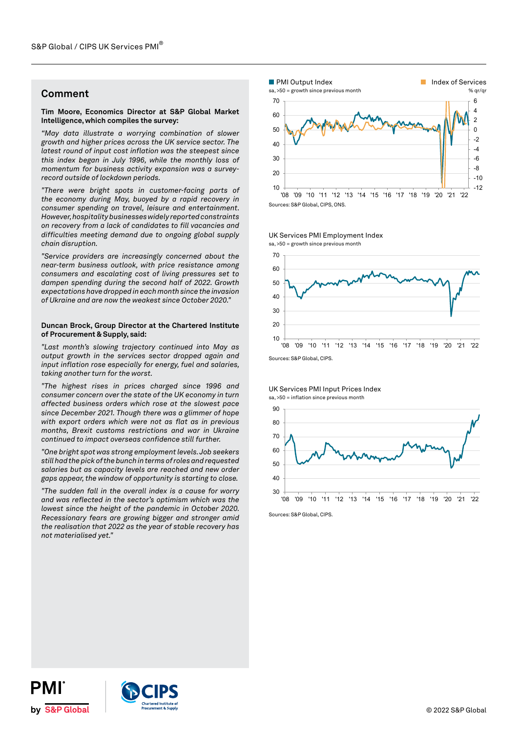## **Comment**

## **Tim Moore, Economics Director at S&P Global Market Intelligence, which compiles the survey:**

*"May data illustrate a worrying combination of slower growth and higher prices across the UK service sector. The latest round of input cost inflation was the steepest since this index began in July 1996, while the monthly loss of momentum for business activity expansion was a surveyrecord outside of lockdown periods.* 

*"There were bright spots in customer-facing parts of the economy during May, buoyed by a rapid recovery in consumer spending on travel, leisure and entertainment. However, hospitality businesses widely reported constraints on recovery from a lack of candidates to fill vacancies and difficulties meeting demand due to ongoing global supply chain disruption.*

*"Service providers are increasingly concerned about the near-term business outlook, with price resistance among consumers and escalating cost of living pressures set to dampen spending during the second half of 2022. Growth expectations have dropped in each month since the invasion of Ukraine and are now the weakest since October 2020."* 

## **Duncan Brock, Group Director at the Chartered Institute of Procurement & Supply, said:**

*"Last month's slowing trajectory continued into May as output growth in the services sector dropped again and input inflation rose especially for energy, fuel and salaries, taking another turn for the worst.*

*"The highest rises in prices charged since 1996 and consumer concern over the state of the UK economy in turn affected business orders which rose at the slowest pace since December 2021. Though there was a glimmer of hope with export orders which were not as flat as in previous months, Brexit customs restrictions and war in Ukraine continued to impact overseas confidence still further.* 

*"One bright spot was strong employment levels. Job seekers still had the pick of the bunch in terms of roles and requested salaries but as capacity levels are reached and new order gaps appear, the window of opportunity is starting to close.*

*"The sudden fall in the overall index is a cause for worry and was reflected in the sector's optimism which was the lowest since the height of the pandemic in October 2020. Recessionary fears are growing bigger and stronger amid the realisation that 2022 as the year of stable recovery has not materialised yet."*





UK Services PMI Employment Index

UK Services PMI Input Prices Index sa, >50 = inflation since previous month



Sources: S&P Global, CIPS.